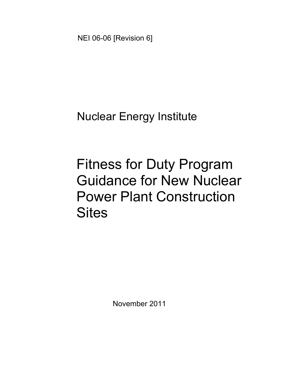NEI 06-06 [Revision 6]

Nuclear Energy Institute

Fitness for Duty Program Guidance for New Nuclear Power Plant Construction **Sites** 

November 2011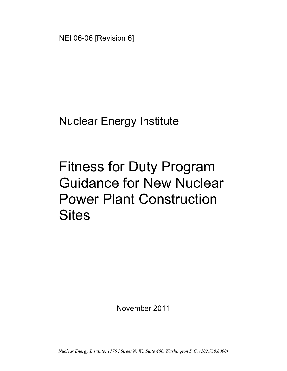NEI 06-06 [Revision 6]

# Nuclear Energy Institute

# Fitness for Duty Program Guidance for New Nuclear Power Plant Construction **Sites**

November 2011

*Nuclear Energy Institute, 1776 I Street N. W., Suite 400, Washington D.C. (202.739.8000)*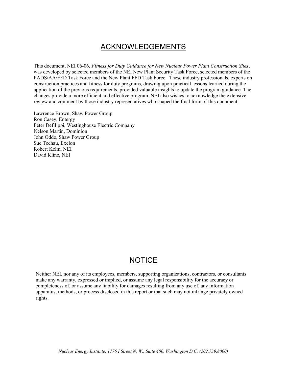# ACKNOWLEDGEMENTS

This document, NEI 06-06, *Fitness for Duty Guidance for New Nuclear Power Plant Construction Sites*, was developed by selected members of the NEI New Plant Security Task Force, selected members of the PADS/AA/FFD Task Force and the New Plant FFD Task Force. These industry professionals, experts on construction practices and fitness for duty programs, drawing upon practical lessons learned during the application of the previous requirements, provided valuable insights to update the program guidance. The changes provide a more efficient and effective program. NEI also wishes to acknowledge the extensive review and comment by those industry representatives who shaped the final form of this document:

Lawrence Brown, Shaw Power Group Ron Casey, Entergy Peter Defilippi, Westinghouse Electric Company Nelson Martin, Dominion John Oddo, Shaw Power Group Sue Techau, Exelon Robert Kelm, NEI David Kline, NEI

# **NOTICE**

Neither NEI, nor any of its employees, members, supporting organizations, contractors, or consultants make any warranty, expressed or implied, or assume any legal responsibility for the accuracy or completeness of, or assume any liability for damages resulting from any use of, any information apparatus, methods, or process disclosed in this report or that such may not infringe privately owned rights.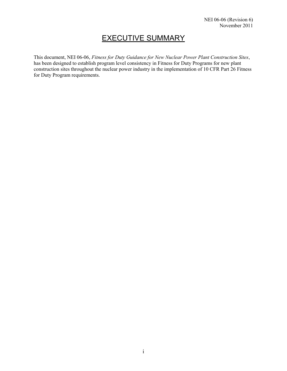# EXECUTIVE SUMMARY

This document, NEI 06-06, *Fitness for Duty Guidance for New Nuclear Power Plant Construction Sites*, has been designed to establish program level consistency in Fitness for Duty Programs for new plant construction sites throughout the nuclear power industry in the implementation of 10 CFR Part 26 Fitness for Duty Program requirements.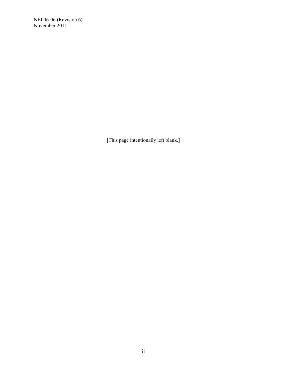NEI 06-06 (Revision 6) November 2011

[This page intentionally left blank.]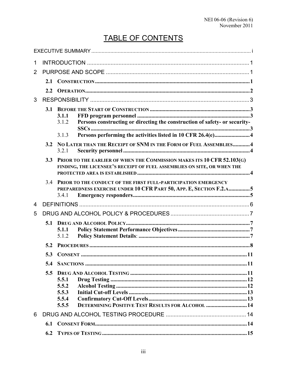# TABLE OF CONTENTS

| 1              |            |                                                                                                                                                   |                                                                                                                                      |  |
|----------------|------------|---------------------------------------------------------------------------------------------------------------------------------------------------|--------------------------------------------------------------------------------------------------------------------------------------|--|
| $\overline{2}$ |            |                                                                                                                                                   |                                                                                                                                      |  |
|                | 2.1        |                                                                                                                                                   |                                                                                                                                      |  |
|                | 2.2        |                                                                                                                                                   |                                                                                                                                      |  |
| 3              |            |                                                                                                                                                   |                                                                                                                                      |  |
|                | <b>3.1</b> | 3.1.1<br>3.1.2                                                                                                                                    | Persons constructing or directing the construction of safety- or security-                                                           |  |
|                |            | 3.1.3                                                                                                                                             |                                                                                                                                      |  |
|                | 3.2        | 3.2.1                                                                                                                                             | NO LATER THAN THE RECEIPT OF SNM IN THE FORM OF FUEL ASSEMBLIES 4                                                                    |  |
|                | 3.3        | PRIOR TO THE EARLIER OF WHEN THE COMMISSION MAKES ITS 10 CFR 52.103(G)<br>FINDING, THE LICENSEE'S RECEIPT OF FUEL ASSEMBLIES ON SITE, OR WHEN THE |                                                                                                                                      |  |
|                | 3.4        | 3.4.1                                                                                                                                             | PRIOR TO THE CONDUCT OF THE FIRST FULL-PARTICIPATION EMERGENCY<br>PREPAREDNESS EXERCISE UNDER 10 CFR PART 50, APP. E, SECTION F.2.A5 |  |
| $\overline{4}$ |            |                                                                                                                                                   |                                                                                                                                      |  |
| 5              |            |                                                                                                                                                   |                                                                                                                                      |  |
|                | 5.1        | 5.1.1<br>5.1.2                                                                                                                                    |                                                                                                                                      |  |
|                | 5.2        |                                                                                                                                                   |                                                                                                                                      |  |
|                | 5.3        |                                                                                                                                                   |                                                                                                                                      |  |
|                | 5.4        |                                                                                                                                                   |                                                                                                                                      |  |
|                | 5.5        | 5.5.1<br>5.5.2<br>5.5.3<br>5.5.4<br>5.5.5                                                                                                         | <b>DETERMINING POSITIVE TEST RESULTS FOR ALCOHOL  14</b>                                                                             |  |
| 6              |            |                                                                                                                                                   |                                                                                                                                      |  |
|                | 6.1        |                                                                                                                                                   |                                                                                                                                      |  |
|                | 6.2        |                                                                                                                                                   |                                                                                                                                      |  |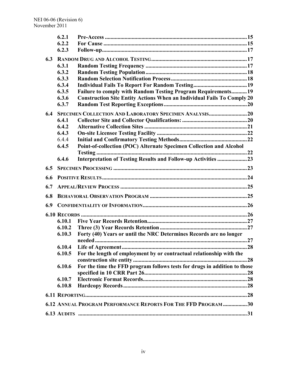|     | 6.2.1  |                                                                               |     |
|-----|--------|-------------------------------------------------------------------------------|-----|
|     | 6.2.2  |                                                                               |     |
|     | 6.2.3  |                                                                               |     |
| 6.3 |        |                                                                               |     |
|     | 6.3.1  |                                                                               |     |
|     | 6.3.2  |                                                                               |     |
|     | 6.3.3  |                                                                               |     |
|     | 6.3.4  |                                                                               |     |
|     | 6.3.5  | Failure to comply with Random Testing Program Requirements 19                 |     |
|     | 6.3.6  | <b>Construction Site Entity Actions When an Individual Fails To Comply 20</b> |     |
|     | 6.3.7  |                                                                               |     |
| 6.4 |        | SPECIMEN COLLECTION AND LABORATORY SPECIMEN ANALYSIS20                        |     |
|     | 6.4.1  |                                                                               |     |
|     | 6.4.2  |                                                                               |     |
|     | 6.4.3  |                                                                               |     |
|     | 6.4.4  |                                                                               |     |
|     |        |                                                                               |     |
|     | 6.4.5  | Point-of-collection (POC) Alternate Specimen Collection and Alcohol           |     |
|     | 6.4.6  | Interpretation of Testing Results and Follow-up Activities 23                 |     |
| 6.5 |        |                                                                               |     |
|     |        |                                                                               |     |
| 6.6 |        |                                                                               |     |
| 6.7 |        |                                                                               |     |
| 6.8 |        |                                                                               |     |
| 6.9 |        |                                                                               |     |
|     |        |                                                                               |     |
|     | 6.10.1 |                                                                               |     |
|     | 6.10.2 |                                                                               |     |
|     | 6.10.3 | Forty (40) Years or until the NRC Determines Records are no longer            |     |
|     |        |                                                                               |     |
|     | 6.10.4 |                                                                               |     |
|     | 6.10.5 | For the length of employment by or contractual relationship with the          |     |
|     |        |                                                                               | .28 |
|     | 6.10.6 | For the time the FFD program follows tests for drugs in addition to those     |     |
|     |        |                                                                               |     |
|     | 6.10.7 |                                                                               |     |
|     | 6.10.8 |                                                                               |     |
|     |        |                                                                               |     |
|     |        |                                                                               |     |
|     |        | 6.12 ANNUAL PROGRAM PERFORMANCE REPORTS FOR THE FFD PROGRAM 30                |     |
|     |        |                                                                               |     |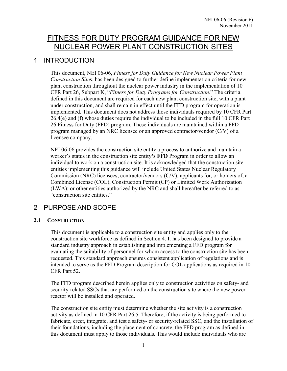# FITNESS FOR DUTY PROGRAM GUIDANCE FOR NEW NUCLEAR POWER PLANT CONSTRUCTION SITES

# 1 INTRODUCTION

This document, NEI 06-06, *Fitness for Duty Guidance for New Nuclear Power Plant Construction Site*s, has been designed to further define implementation criteria for new plant construction throughout the nuclear power industry in the implementation of 10 CFR Part 26, Subpart K, "*Fitness for Duty Programs for Construction*." The criteria defined in this document are required for each new plant construction site, with a plant under construction, and shall remain in effect until the FFD program for operation is implemented. This document does not address those individuals required by 10 CFR Part 26.4(e) and (f) whose duties require the individual to be included in the full 10 CFR Part 26 Fitness for Duty (FFD) program. These individuals are maintained within a FFD program managed by an NRC licensee or an approved contractor/vendor (C/V) of a licensee company.

NEI 06-06 provides the construction site entity a process to authorize and maintain a worker's status in the construction site entity**'s FFD** Program in order to allow an individual to work on a construction site. It is acknowledged that the construction site entities implementing this guidance will include United States Nuclear Regulatory Commission (NRC) licensees; contractor/vendors (C/V); applicants for, or holders of, a Combined License (COL), Construction Permit (CP) or Limited Work Authorization (LWA); or other entities authorized by the NRC and shall hereafter be referred to as "construction site entities."

# 2 PURPOSE AND SCOPE

# **2.1 CONSTRUCTION**

This document is applicable to a construction site entity and applies only to the construction site workforce as defined in Section 4. It has been designed to provide a standard industry approach in establishing and implementing a FFD program for evaluating the suitability of personnel for whom access to the construction site has been requested. This standard approach ensures consistent application of regulations and is intended to serve as the FFD Program description for COL applications as required in 10 CFR Part 52.

The FFD program described herein applies only to construction activities on safety- and security-related SSCs that are performed on the construction site where the new power reactor will be installed and operated.

The construction site entity must determine whether the site activity is a construction activity as defined in 10 CFR Part 26.5. Therefore, if the activity is being performed to fabricate, erect, integrate, and test a safety- or security-related SSC, and the installation of their foundations, including the placement of concrete, the FFD program as defined in this document must apply to those individuals. This would include individuals who are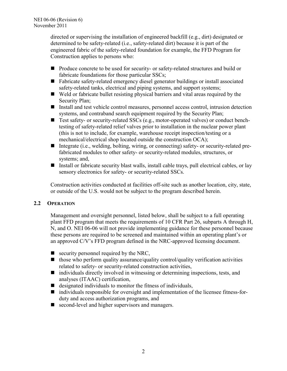directed or supervising the installation of engineered backfill (e.g., dirt) designated or determined to be safety-related (i.e., safety-related dirt) because it is part of the engineered fabric of the safety-related foundation for example, the FFD Program for Construction applies to persons who:

- Produce concrete to be used for security- or safety-related structures and build or fabricate foundations for those particular SSCs;
- Fabricate safety-related emergency diesel generator buildings or install associated safety-related tanks, electrical and piping systems, and support systems;
- Weld or fabricate bullet resisting physical barriers and vital areas required by the Security Plan;
- Install and test vehicle control measures, personnel access control, intrusion detection systems, and contraband search equipment required by the Security Plan;
- Test safety- or security-related SSCs (e.g., motor-operated valves) or conduct benchtesting of safety-related relief valves prior to installation in the nuclear power plant (this is not to include, for example, warehouse receipt inspection/testing or a mechanical/electrical shop located outside the construction OCA);
- Integrate (i.e., welding, bolting, wiring, or connecting) safety- or security-related prefabricated modules to other safety- or security-related modules, structures, or systems; and,
- Install or fabricate security blast walls, install cable trays, pull electrical cables, or lay sensory electronics for safety- or security-related SSCs.

Construction activities conducted at facilities off-site such as another location, city, state, or outside of the U.S. would not be subject to the program described herein.

# **2.2 OPERATION**

Management and oversight personnel, listed below, shall be subject to a full operating plant FFD program that meets the requirements of 10 CFR Part 26, subparts A through H, N, and O. NEI 06-06 will not provide implementing guidance for these personnel because these persons are required to be screened and maintained within an operating plant's or an approved C/V's FFD program defined in the NRC-approved licensing document.

- security personnel required by the NRC,
- $\blacksquare$  those who perform quality assurance/quality control/quality verification activities related to safety- or security-related construction activities,
- individuals directly involved in witnessing or determining inspections, tests, and analyses (ITAAC) certification,
- $\Box$  designated individuals to monitor the fitness of individuals,
- individuals responsible for oversight and implementation of the licensee fitness-forduty and access authorization programs, and
- second-level and higher supervisors and managers.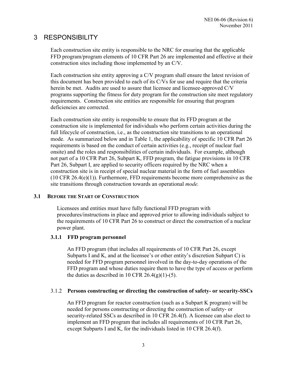# 3 RESPONSIBILITY

Each construction site entity is responsible to the NRC for ensuring that the applicable FFD program/program elements of 10 CFR Part 26 are implemented and effective at their construction sites including those implemented by an C/V.

Each construction site entity approving a C/V program shall ensure the latest revision of this document has been provided to each of its C/Vs for use and require that the criteria herein be met. Audits are used to assure that licensee and licensee-approved C/V programs supporting the fitness for duty program for the construction site meet regulatory requirements. Construction site entities are responsible for ensuring that program deficiencies are corrected.

Each construction site entity is responsible to ensure that its FFD program at the construction site is implemented for individuals who perform certain activities during the full lifecycle of construction, i.e., as the construction site transitions to an operational mode. As summarized below and in Table 1, the applicability of specific 10 CFR Part 26 requirements is based on the conduct of certain activities (e.g., receipt of nuclear fuel onsite) and the roles and responsibilities of certain individuals. For example, although not part of a 10 CFR Part 26, Subpart K, FFD program, the fatigue provisions in 10 CFR Part 26, Subpart I, are applied to security officers required by the NRC when a construction site is in receipt of special nuclear material in the form of fuel assemblies (10 CFR 26.4(e)(1)). Furthermore, FFD requirements become more comprehensive as the site transitions through construction towards an operational *mode.*

# **3.1 BEFORE THE START OF CONSTRUCTION**

Licensees and entities must have fully functional FFD program with procedures/instructions in place and approved prior to allowing individuals subject to the requirements of 10 CFR Part 26 to construct or direct the construction of a nuclear power plant.

# **3.1.1 FFD program personnel**

An FFD program (that includes all requirements of 10 CFR Part 26, except Subparts I and K, and at the licensee's or other entity's discretion Subpart C) is needed for FFD program personnel involved in the day-to-day operations of the FFD program and whose duties require them to have the type of access or perform the duties as described in 10 CFR  $26.4(g)(1)-(5)$ .

# 3.1.2 **Persons constructing or directing the construction of safety- or security-SSCs**

An FFD program for reactor construction (such as a Subpart K program) will be needed for persons constructing or directing the construction of safety- or security-related SSCs as described in 10 CFR 26.4(f). A licensee can also elect to implement an FFD program that includes all requirements of 10 CFR Part 26, except Subparts I and K, for the individuals listed in 10 CFR 26.4(f).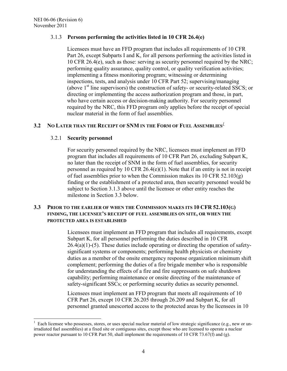1

# 3.1.3 **Persons performing the activities listed in 10 CFR 26.4(e)**

Licensees must have an FFD program that includes all requirements of 10 CFR Part 26, except Subparts I and K, for all persons performing the activities listed in 10 CFR 26.4(e), such as those: serving as security personnel required by the NRC; performing quality assurance, quality control, or quality verification activities; implementing a fitness monitoring program; witnessing or determining inspections, tests, and analysis under 10 CFR Part 52; supervising/managing (above  $1<sup>st</sup>$  line supervisors) the construction of safety- or security-related SSCS; or directing or implementing the access authorization program and those, in part, who have certain access or decision-making authority. For security personnel required by the NRC, this FFD program only applies before the receipt of special nuclear material in the form of fuel assemblies.

# **3.2 NO LATER THAN THE RECEIPT OF SNM IN THE FORM OF FUEL ASSEMBLIES***<sup>1</sup>*

## 3.2.1 **Security personnel**

For security personnel required by the NRC, licensees must implement an FFD program that includes all requirements of 10 CFR Part 26, excluding Subpart K, no later than the receipt of SNM in the form of fuel assemblies, for security personnel as required by 10 CFR 26.4(e)(1). Note that if an entity is not in receipt of fuel assemblies prior to when the Commission makes its 10 CFR 52.103(g) finding or the establishment of a protected area, then security personnel would be subject to Section 3.1.3 above until the licensee or other entity reaches the milestone in Section 3.3 below.

## **3.3 PRIOR TO THE EARLIER OF WHEN THE COMMISSION MAKES ITS 10 CFR 52.103(G) FINDING, THE LICENSEE'S RECEIPT OF FUEL ASSEMBLIES ON SITE, OR WHEN THE PROTECTED AREA IS ESTABLISHED**

Licensees must implement an FFD program that includes all requirements, except Subpart K, for all personnel performing the duties described in 10 CFR 26.4(a)(1)-(5). These duties include operating or directing the operation of safetysignificant systems or components; performing health physicists or chemistry duties as a member of the onsite emergency response organization minimum shift complement; performing the duties of a fire brigade member who is responsible for understanding the effects of a fire and fire suppressants on safe shutdown capability; performing maintenance or onsite directing of the maintenance of safety-significant SSCs; or performing security duties as security personnel.

Licensees must implement an FFD program that meets all requirements of 10 CFR Part 26, except 10 CFR 26.205 through 26.209 and Subpart K, for all personnel granted unescorted access to the protected areas by the licensees in 10

 $1$  Each licensee who possesses, stores, or uses special nuclear material of low strategic significance (e.g., new or unirradiated fuel assemblies) at a fixed site or contiguous sites, except those who are licensed to operate a nuclear power reactor pursuant to 10 CFR Part 50, shall implement the requirements of 10 CFR 73.67(f) and (g).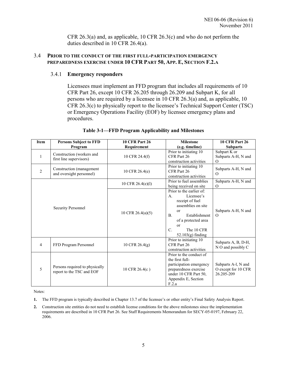CFR 26.3(a) and, as applicable, 10 CFR 26.3(c) and who do not perform the duties described in 10 CFR 26.4(a).

## 3.4 **PRIOR TO THE CONDUCT OF THE FIRST FULL-PARTICIPATION EMERGENCY PREPAREDNESS EXERCISE UNDER 10 CFR PART 50, APP. E, SECTION F.2.A**

# 3.4.1 **Emergency responders**

Licensees must implement an FFD program that includes all requirements of 10 CFR Part 26, except 10 CFR 26.205 through 26.209 and Subpart K, for all persons who are required by a licensee in 10 CFR 26.3(a) and, as applicable, 10 CFR 26.3(c) to physically report to the licensee's Technical Support Center (TSC) or Emergency Operations Facility (EOF) by licensee emergency plans and procedures.

| <b>Item</b>    | <b>Persons Subject to FFD</b>                               | <b>10 CFR Part 26</b> | <b>Milestone</b>                                                                                                                                                                                                | <b>10 CFR Part 26</b>                                    |
|----------------|-------------------------------------------------------------|-----------------------|-----------------------------------------------------------------------------------------------------------------------------------------------------------------------------------------------------------------|----------------------------------------------------------|
|                | Program                                                     | Requirement           | (e.g. timeline)                                                                                                                                                                                                 | <b>Subparts</b>                                          |
| 1              | Construction (workers and<br>first line supervisors)        | 10 CFR 24.4(f)        | Prior to initiating 10<br>CFR Part 26<br>construction activities                                                                                                                                                | Subpart K or<br>Subparts A-H, N and<br>$\Omega$          |
| 2              | Construction (management)<br>and oversight personnel)       | 10 CFR 26.4(e)        | Prior to initiating 10<br>CFR Part 26<br>construction activities                                                                                                                                                | Subparts A-H, N and<br>$\Omega$                          |
|                |                                                             | 10 CFR $26.4(e)(1)$   | Prior to fuel assemblies<br>being received on site                                                                                                                                                              | Subparts A-H, N and<br>$\Omega$                          |
|                | <b>Security Personnel</b>                                   | 10 CFR $26.4(a)(5)$   | Prior to the earlier of:<br>Licensee's<br>A.<br>receipt of fuel<br>assemblies on site<br>or<br>Establishment<br>$\mathbf{B}$ .<br>of a protected area<br>or<br>$C_{\cdot}$<br>The 10 CFR<br>$52.103(g)$ finding | Subparts A-H, N and<br>$\Omega$                          |
| $\overline{4}$ | FFD Program Personnel                                       | 10 CFR 26.4(g)        | Prior to initiating 10<br>CFR Part 26<br>construction activities                                                                                                                                                | Subparts A, B, D-H,<br>N O and possibly C                |
| 5              | Persons required to physically<br>report to the TSC and EOF | 10 CFR 26.4(c)        | Prior to the conduct of<br>the first full-<br>participation emergency<br>preparedness exercise<br>under 10 CFR Part 50,<br>Appendix E, Section<br>F.2.a                                                         | Subparts A-l, N and<br>O except for 10 CFR<br>26.205-209 |

# **Table 3-1—FFD Program Applicability and Milestones**

Notes:

**1.** The FFD program is typically described in Chapter 13.7 of the licensee's or other entity's Final Safety Analysis Report.

**2.** Construction site entities do not need to establish license conditions for the above milestones since the implementation requirements are described in 10 CFR Part 26. See Staff Requirements Memorandum for SECY-05-0197, February 22, 2006.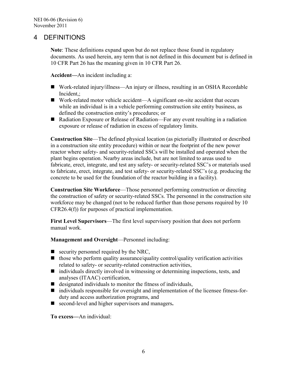# 4 DEFINITIONS

**Note**: These definitions expand upon but do not replace those found in regulatory documents. As used herein, any term that is not defined in this document but is defined in 10 CFR Part 26 has the meaning given in 10 CFR Part 26.

**Accident—**An incident including a:

- Work-related injury/illness—An injury or illness, resulting in an OSHA Recordable Incident,;
- Work-related motor vehicle accident—A significant on-site accident that occurs while an individual is in a vehicle performing construction site entity business, as defined the construction entity's procedures; or
- Radiation Exposure or Release of Radiation—For any event resulting in a radiation exposure or release of radiation in excess of regulatory limits.

**Construction Site**—The defined physical location (as pictorially illustrated or described in a construction site entity procedure) within or near the footprint of the new power reactor where safety- and security-related SSCs will be installed and operated when the plant begins operation. Nearby areas include, but are not limited to areas used to fabricate, erect, integrate, and test any safety- or security-related SSC's or materials used to fabricate, erect, integrate, and test safety- or security-related SSC's (e.g. producing the concrete to be used for the foundation of the reactor building in a facility).

**Construction Site Workforce**—Those personnel performing construction or directing the construction of safety or security-related SSCs. The personnel in the construction site workforce may be changed (not to be reduced further than those persons required by 10 CFR26.4(f)) for purposes of practical implementation.

**First Level Supervisors**—The first level supervisory position that does not perform manual work.

**Management and Oversight**—Personnel including:

- security personnel required by the NRC,
- $\blacksquare$  those who perform quality assurance/quality control/quality verification activities related to safety- or security-related construction activities,
- $\blacksquare$  individuals directly involved in witnessing or determining inspections, tests, and analyses (ITAAC) certification,
- $\blacksquare$  designated individuals to monitor the fitness of individuals,
- individuals responsible for oversight and implementation of the licensee fitness-forduty and access authorization programs, and
- second-level and higher supervisors and managers**.**

**To excess—**An individual: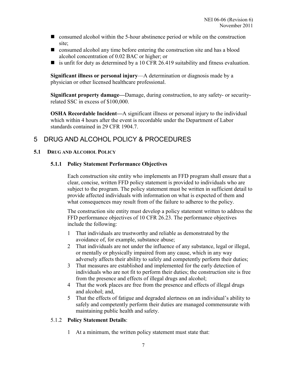- **E** consumed alcohol within the 5-hour abstinence period or while on the construction site;
- **E** consumed alcohol any time before entering the construction site and has a blood alcohol concentration of 0.02 BAC or higher; or
- is unfit for duty as determined by a 10 CFR 26.419 suitability and fitness evaluation.

**Significant illness or personal injury**—A determination or diagnosis made by a physician or other licensed healthcare professional.

**Significant property damage—**Damage, during construction, to any safety- or securityrelated SSC in excess of \$100,000.

**OSHA Recordable Incident—A** significant illness or personal injury to the individual which within 4 hours after the event is recordable under the Department of Labor standards contained in 29 CFR 1904.7.

# 5 DRUG AND ALCOHOL POLICY & PROCEDURES

# **5.1 DRUG AND ALCOHOL POLICY**

# **5.1.1 Policy Statement Performance Objectives**

Each construction site entity who implements an FFD program shall ensure that a clear, concise, written FFD policy statement is provided to individuals who are subject to the program. The policy statement must be written in sufficient detail to provide affected individuals with information on what is expected of them and what consequences may result from of the failure to adheree to the policy.

The construction site entity must develop a policy statement written to address the FFD performance objectives of 10 CFR 26.23. The performance objectives include the following:

- 1 That individuals are trustworthy and reliable as demonstrated by the avoidance of, for example, substance abuse;
- 2 That individuals are not under the influence of any substance, legal or illegal, or mentally or physically impaired from any cause, which in any way adversely affects their ability to safely and competently perform their duties;
- 3 That measures are established and implemented for the early detection of individuals who are not fit to perform their duties; the construction site is free from the presence and effects of illegal drugs and alcohol;
- 4 That the work places are free from the presence and effects of illegal drugs and alcohol; and,
- 5 That the effects of fatigue and degraded alertness on an individual's ability to safely and competently perform their duties are managed commensurate with maintaining public health and safety.

# 5.1.2 **Policy Statement Details**:

1 At a minimum, the written policy statement must state that: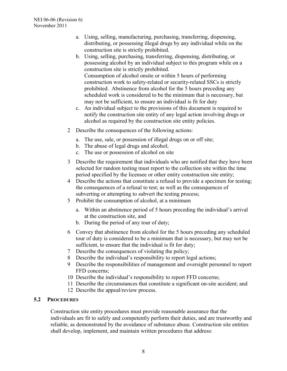- a. Using, selling, manufacturing, purchasing, transferring, dispensing, distributing, or possessing illegal drugs by any individual while on the construction site is strictly prohibited.
- b. Using, selling, purchasing, transferring, dispensing, distributing, or possessing alcohol by an individual subject to this program while on a construction site is strictly prohibited. Consumption of alcohol onsite or within 5 hours of performing construction work to safety-related or security-related SSCs is strictly prohibited. Abstinence from alcohol for the 5 hours preceding any scheduled work is considered to be the minimum that is necessary, but may not be sufficient, to ensure an individual is fit for duty
- c. An individual subject to the provisions of this document is required to notify the construction site entity of any legal action involving drugs or alcohol as required by the construction site entity policies.
- 2 Describe the consequences of the following actions:
	- a. The use, sale, or possession of illegal drugs on or off site;
	- b. The abuse of legal drugs and alcohol;
	- c. The use or possession of alcohol on site
- 3 Describe the requirement that individuals who are notified that they have been selected for random testing must report to the collection site within the time period specified by the licensee or other entity construction site entity;
- 4 Describe the actions that constitute a refusal to provide a specimen for testing; the consequences of a refusal to test; as well as the consequences of subverting or attempting to subvert the testing process;
- 5 Prohibit the consumption of alcohol, at a minimum
	- a. Within an abstinence period of 5 hours preceding the individual's arrival at the construction site, and
	- b. During the period of any tour of duty;
- 6 Convey that abstinence from alcohol for the 5 hours preceding any scheduled tour of duty is considered to be a minimum that is necessary, but may not be sufficient, to ensure that the individual is fit for duty;
- 7 Describe the consequences of violating the policy;
- 8 Describe the individual's responsibility to report legal actions;
- 9 Describe the responsibilities of management and oversight personnel to report FFD concerns;
- 10 Describe the individual's responsibility to report FFD concerns;
- 11 Describe the circumstances that constitute a significant on-site accident; and
- 12 Describe the appeal/review process.

## **5.2 PROCEDURES**

Construction site entity procedures must provide reasonable assurance that the individuals are fit to safely and competently perform their duties, and are trustworthy and reliable, as demonstrated by the avoidance of substance abuse. Construction site entities shall develop, implement, and maintain written procedures that address: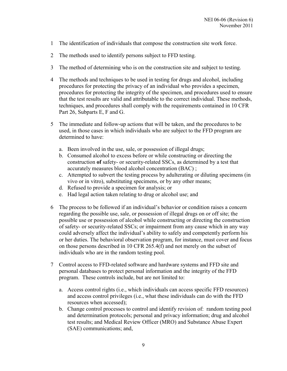- 1 The identification of individuals that compose the construction site work force.
- 2 The methods used to identify persons subject to FFD testing.
- 3 The method of determining who is on the construction site and subject to testing.
- 4 The methods and techniques to be used in testing for drugs and alcohol, including procedures for protecting the privacy of an individual who provides a specimen, procedures for protecting the integrity of the specimen, and procedures used to ensure that the test results are valid and attributable to the correct individual. These methods, techniques, and procedures shall comply with the requirements contained in 10 CFR Part 26, Subparts E, F and G.
- 5 The immediate and follow-up actions that will be taken, and the procedures to be used, in those cases in which individuals who are subject to the FFD program are determined to have:
	- a. Been involved in the use, sale, or possession of illegal drugs;
	- b. Consumed alcohol to excess before or while constructing or directing the construction **of** safety- or security-related SSCs, as determined by a test that accurately measures blood alcohol concentration (BAC) ;
	- c. Attempted to subvert the testing process by adulterating or diluting specimens (in vivo or in vitro), substituting specimens, or by any other means;
	- d. Refused to provide a specimen for analysis; or
	- e. Had legal action taken relating to drug or alcohol use; and
- 6 The process to be followed if an individual's behavior or condition raises a concern regarding the possible use, sale, or possession of illegal drugs on or off site; the possible use or possession of alcohol while constructing or directing the construction of safety- or security-related SSCs; or impairment from any cause which in any way could adversely affect the individual's ability to safely and competently perform his or her duties. The behavioral observation program, for instance, must cover and focus on those persons described in 10 CFR 265.4(f) and not merely on the subset of individuals who are in the random testing pool.
- 7 Control access to FFD-related software and hardware systems and FFD site and personal databases to protect personal information and the integrity of the FFD program. These controls include, but are not limited to:
	- a. Access control rights (i.e., which individuals can access specific FFD resources) and access control privileges (i.e., what these individuals can do with the FFD resources when accessed);
	- b. Change control processes to control and identify revision of: random testing pool and determination protocols; personal and privacy information; drug and alcohol test results; and Medical Review Officer (MRO) and Substance Abuse Expert (SAE) communications; and,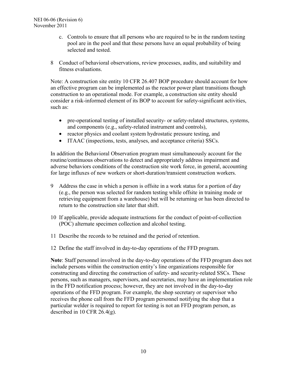- c. Controls to ensure that all persons who are required to be in the random testing pool are in the pool and that these persons have an equal probability of being selected and tested.
- 8 Conduct of behavioral observations, review processes, audits, and suitability and fitness evaluations.

Note: A construction site entity 10 CFR 26.407 BOP procedure should account for how an effective program can be implemented as the reactor power plant transitions though construction to an operational mode. For example, a construction site entity should consider a risk-informed element of its BOP to account for safety-significant activities, such as:

- pre-operational testing of installed security- or safety-related structures, systems, and components (e.g., safety-related instrument and controls),
- reactor physics and coolant system hydrostatic pressure testing, and
- ITAAC (inspections, tests, analyses, and acceptance criteria) SSCs.

In addition the Behavioral Observation program must simultaneously account for the routine/continuous observations to detect and appropriately address impairment and adverse behaviors conditions of the construction site work force, in general, accounting for large influxes of new workers or short-duration/transient construction workers.

- 9 Address the case in which a person is offsite in a work status for a portion of day (e.g., the person was selected for random testing while offsite in training mode or retrieving equipment from a warehouse) but will be returning or has been directed to return to the construction site later that shift.
- 10 If applicable, provide adequate instructions for the conduct of point-of-collection (POC) alternate specimen collection and alcohol testing.
- 11 Describe the records to be retained and the period of retention.
- 12 Define the staff involved in day-to-day operations of the FFD program.

**Note**: Staff personnel involved in the day-to-day operations of the FFD program does not include persons within the construction entity's line organizations responsible for constructing and directing the construction of safety- and security-related SSCs. These persons, such as managers, supervisors, and secretaries, may have an implementation role in the FFD notification process; however, they are not involved in the day-to-day operations of the FFD program. For example, the shop secretary or supervisor who receives the phone call from the FFD program personnel notifying the shop that a particular welder is required to report for testing is not an FFD program person, as described in 10 CFR 26.4(g).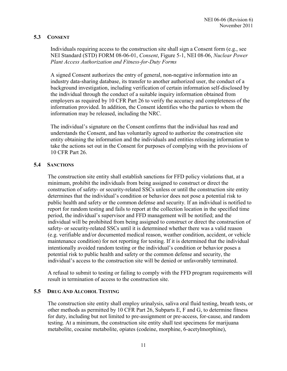# **5.3 CONSENT**

Individuals requiring access to the construction site shall sign a Consent form (e.g., see NEI Standard (STD) FORM 08-06-01, *Consent*, Figure 5-1, NEI 08-06, *Nuclear Power Plant Access Authorization and Fitness-for-Duty Forms*

A signed Consent authorizes the entry of general, non-negative information into an industry data-sharing database, its transfer to another authorized user, the conduct of a background investigation, including verification of certain information self-disclosed by the individual through the conduct of a suitable inquiry information obtained from employers as required by 10 CFR Part 26 to verify the accuracy and completeness of the information provided. In addition, the Consent identifies who the parties to whom the information may be released, including the NRC.

The individual's signature on the Consent confirms that the individual has read and understands the Consent, and has voluntarily agreed to authorize the construction site entity obtaining the information and the individuals and entities releasing information to take the actions set out in the Consent for purposes of complying with the provisions of 10 CFR Part 26.

# **5.4 SANCTIONS**

The construction site entity shall establish sanctions for FFD policy violations that, at a minimum, prohibit the individuals from being assigned to construct or direct the construction of safety- or security-related SSCs unless or until the construction site entity determines that the individual's condition or behavior does not pose a potential risk to public health and safety or the common defense and security. If an individual is notified to report for random testing and fails to report at the collection location in the specified time period, the individual's supervisor and FFD management will be notified; and the individual will be prohibited from being assigned to construct or direct the construction of safety- or security-related SSCs until it is determined whether there was a valid reason (e.g. verifiable and/or documented medical reason, weather condition, accident, or vehicle maintenance condition) for not reporting for testing. If it is determined that the individual intentionally avoided random testing or the individual's condition or behavior poses a potential risk to public health and safety or the common defense and security, the individual's access to the construction site will be denied or unfavorably terminated.

A refusal to submit to testing or failing to comply with the FFD program requirements will result in termination of access to the construction site.

# **5.5 DRUG AND ALCOHOL TESTING**

The construction site entity shall employ urinalysis, saliva oral fluid testing, breath tests, or other methods as permitted by 10 CFR Part 26, Subparts E, F and G, to determine fitness for duty, including but not limited to pre-assignment or pre-access, for-cause, and random testing. At a minimum, the construction site entity shall test specimens for marijuana metabolite, cocaine metabolite, opiates (codeine, morphine, 6-acetylmorphine),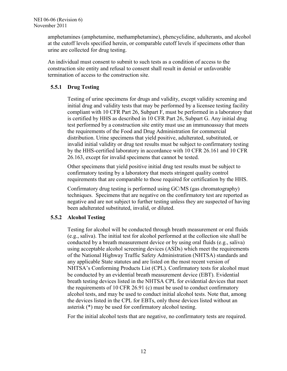amphetamines (amphetamine, methamphetamine), phencyclidine, adulterants, and alcohol at the cutoff levels specified herein, or comparable cutoff levels if specimens other than urine are collected for drug testing.

An individual must consent to submit to such tests as a condition of access to the construction site entity and refusal to consent shall result in denial or unfavorable termination of access to the construction site.

# **5.5.1 Drug Testing**

Testing of urine specimens for drugs and validity, except validity screening and initial drug and validity tests that may be performed by a licensee testing facility compliant with 10 CFR Part 26, Subpart F, must be performed in a laboratory that is certified by HHS as described in 10 CFR Part 26, Subpart G. Any initial drug test performed by a construction site entity must use an immunoassay that meets the requirements of the Food and Drug Administration for commercial distribution. Urine specimens that yield positive, adulterated, substituted, or invalid initial validity or drug test results must be subject to confirmatory testing by the HHS-certified laboratory in accordance with 10 CFR 26.161 and 10 CFR 26.163, except for invalid specimens that cannot be tested.

Other specimens that yield positive initial drug test results must be subject to confirmatory testing by a laboratory that meets stringent quality control requirements that are comparable to those required for certification by the HHS.

Confirmatory drug testing is performed using GC/MS (gas chromatography) techniques. Specimens that are negative on the confirmatory test are reported as negative and are not subject to further testing unless they are suspected of having been adulterated substituted, invalid, or diluted.

# **5.5.2 Alcohol Testing**

Testing for alcohol will be conducted through breath measurement or oral fluids (e.g., saliva). The initial test for alcohol performed at the collection site shall be conducted by a breath measurement device or by using oral fluids (e.g., saliva) using acceptable alcohol screening devices (ASDs) which meet the requirements of the National Highway Traffic Safety Administration (NHTSA) standards and any applicable State statutes and are listed on the most recent version of NHTSA's Conforming Products List (CPL). Confirmatory tests for alcohol must be conducted by an evidential breath measurement device (EBT). Evidential breath testing devices listed in the NHTSA CPL for evidential devices that meet the requirements of 10 CFR 26.91 (c) must be used to conduct confirmatory alcohol tests, and may be used to conduct initial alcohol tests. Note that, among the devices listed in the CPL for EBTs, only those devices listed without an asterisk (\*) may be used for confirmatory alcohol testing.

For the initial alcohol tests that are negative, no confirmatory tests are required.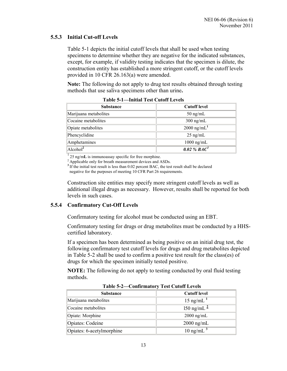# **5.5.3 Initial Cut-off Levels**

Table 5-1 depicts the initial cutoff levels that shall be used when testing specimens to determine whether they are negative for the indicated substances, except, for example, if validity testing indicates that the specimen is dilute, the construction entity has established a more stringent cutoff, or the cutoff levels provided in 10 CFR 26.163(a) were amended.

**Note:** The following do not apply to drug test results obtained through testing methods that use saliva specimens other than urine**.**

| <b>Substance</b>      | <b>Cutoff level</b>    |
|-----------------------|------------------------|
| Marijuana metabolites | $50$ ng/mL             |
| Cocaine metabolites   | $300$ ng/mL            |
| Opiate metabolites    | $2000 \text{ ng/mL}^1$ |
| Phencyclidine         | $25$ ng/mL             |
| Amphetamines          | $1000$ ng/mL           |
| Alcohol <sup>2</sup>  | 0.02 % $BAC^3$         |

**Table 5-1—Initial Test Cutoff Levels** 

<sup>1</sup> 25 ng/mL is immunoassay specific for free morphine.<sup>2</sup> Applicable only for breath measurement devices and ASDs.

<sup>3</sup>If the initial test result is less than 0.02 percent BAC, the test result shall be declared negative for the purposes of meeting 10 CFR Part 26 requirements.

Construction site entities may specify more stringent cutoff levels as well as additional illegal drugs as necessary. However, results shall be reported for both levels in such cases.

# **5.5.4 Confirmatory Cut-Off Levels**

Confirmatory testing for alcohol must be conducted using an EBT.

Confirmatory testing for drugs or drug metabolites must be conducted by a HHScertified laboratory.

If a specimen has been determined as being positive on an initial drug test, the following confirmatory test cutoff levels for drugs and drug metabolites depicted in Table 5-2 shall be used to confirm a positive test result for the class(es) of drugs for which the specimen initially tested positive.

**NOTE:** The following do not apply to testing conducted by oral fluid testing methods.

| <b>Substance</b>          | <b>Cutoff level</b> |
|---------------------------|---------------------|
| Marijuana metabolites     | 15 ng/mL $^{-1}$    |
| Cocaine metabolites       | 150 ng/mL $^2$      |
| Opiate: Morphine          | $2000$ ng/mL        |
| Opiates: Codeine          | $2000$ ng/mL        |
| Opiates: 6-acetylmorphine | 10 ng/mL $^3$       |

**Table 5-2—Confirmatory Test Cutoff Levels**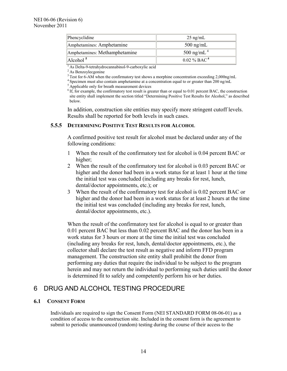| Phencyclidine                 | $25 \text{ ng/mL}$        |  |
|-------------------------------|---------------------------|--|
| Amphetamines: Amphetamine     | $500$ ng/mL               |  |
| Amphetamines: Methamphetamine | 500 ng/mL $4$             |  |
| $ $ Alcohol <sup>5</sup>      | $0.02\%$ BAC <sup>6</sup> |  |

<sup>1</sup> As Delta-9-tetrahydrocannabinol-9-carboxylic acid

<sup>2</sup> As Benzoylecgonine

Test for 6-AM when the confirmatory test shows a morphine concentration exceeding 2,000ng/mL

4 Specimen must also contain amphetamine at a concentration equal to or greater than 200 ng/mL

<sup>5</sup> Applicable only for breath measurement devices

<sup>6</sup> If, for example, the confirmatory test result is greater than or equal to 0.01 percent BAC, the construction site entity shall implement the section titled "Determining Positive Test Results for Alcohol," as described below.

In addition, construction site entities may specify more stringent cutoff levels. Results shall be reported for both levels in such cases.

## **5.5.5 DETERMINING POSITIVE TEST RESULTS FOR ALCOHOL**

A confirmed positive test result for alcohol must be declared under any of the following conditions:

- 1 When the result of the confirmatory test for alcohol is 0.04 percent BAC or higher;
- 2 When the result of the confirmatory test for alcohol is 0.03 percent BAC or higher and the donor had been in a work status for at least 1 hour at the time the initial test was concluded (including any breaks for rest, lunch, dental/doctor appointments, etc.); or
- 3 When the result of the confirmatory test for alcohol is 0.02 percent BAC or higher and the donor had been in a work status for at least 2 hours at the time the initial test was concluded (including any breaks for rest, lunch, dental/doctor appointments, etc.).

When the result of the confirmatory test for alcohol is equal to or greater than 0.01 percent BAC but less than 0.02 percent BAC and the donor has been in a work status for 3 hours or more at the time the initial test was concluded (including any breaks for rest, lunch, dental/doctor appointments, etc.), the collector shall declare the test result as negative and inform FFD program management. The construction site entity shall prohibit the donor from performing any duties that require the individual to be subject to the program herein and may not return the individual to performing such duties until the donor is determined fit to safely and competently perform his or her duties.

# 6 DRUG AND ALCOHOL TESTING PROCEDURE

## **6.1 CONSENT FORM**

Individuals are required to sign the Consent Form (NEI STANDARD FORM 08-06-01) as a condition of access to the construction site. Included in the consent form is the agreement to submit to periodic unannounced (random) testing during the course of their access to the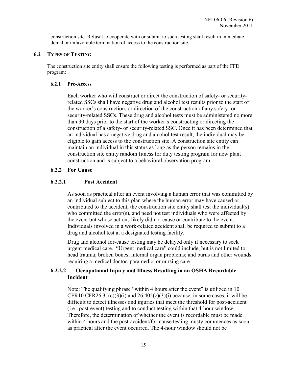construction site. Refusal to cooperate with or submit to such testing shall result in immediate denial or unfavorable termination of access to the construction site.

# **6.2 TYPES OF TESTING**

The construction site entity shall ensure the following testing is performed as part of the FFD program:

# **6.2.1 Pre-Access**

Each worker who will construct or direct the construction of safety- or securityrelated SSCs shall have negative drug and alcohol test results prior to the start of the worker's construction, or direction of the construction of any safety- or security-related SSCs. These drug and alcohol tests must be administered no more than 30 days prior to the start of the worker's constructing or directing the construction of a safety- or security-related SSC. Once it has been determined that an individual has a negative drug and alcohol test result, the individual may be eligible to gain access to the construction site. A construction site entity can maintain an individual in this status as long as the person remains in the construction site entity random fitness for duty testing program for new plant construction and is subject to a behavioral observation program.

# **6.2.2 For Cause**

# **6.2.2.1 Post Accident**

As soon as practical after an event involving a human error that was committed by an individual subject to this plan where the human error may have caused or contributed to the accident, the construction site entity shall test the individual(s) who committed the error(s), and need not test individuals who were affected by the event but whose actions likely did not cause or contribute to the event. Individuals involved in a work-related accident shall be required to submit to a drug and alcohol test at a designated testing facility.

Drug and alcohol for-cause testing may be delayed only if necessary to seek urgent medical care. "Urgent medical care" could include, but is not limited to: head trauma; broken bones; internal organ problems; and burns and other wounds requiring a medical doctor, paramedic, or nursing care.

# **6.2.2.2 Occupational Injury and Illness Resulting in an OSHA Recordable Incident**

Note: The qualifying phrase "within 4 hours after the event" is utilized in 10 CFR10 CFR26.31(c)(3)(i) and  $26.405(c)(3)(i)$  because, in some cases, it will be difficult to detect illnesses and injuries that meet the threshold for post-accident (i.e., post-event) testing and to conduct testing within that 4-hour window. Therefore, the determination of whether the event is recordable must be made within 4 hours and the post-accident/for-cause testing musty commences as soon as practical after the event occurred. The 4-hour window should not be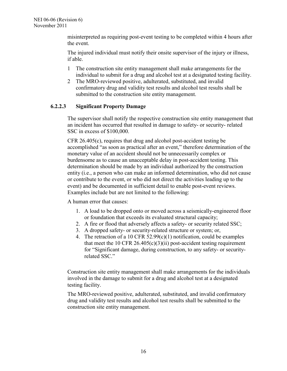misinterpreted as requiring post-event testing to be completed within 4 hours after the event.

The injured individual must notify their onsite supervisor of the injury or illness, if able.

- 1 The construction site entity management shall make arrangements for the individual to submit for a drug and alcohol test at a designated testing facility.
- 2 The MRO-reviewed positive, adulterated, substituted, and invalid confirmatory drug and validity test results and alcohol test results shall be submitted to the construction site entity management.

# **6.2.2.3 Significant Property Damage**

The supervisor shall notify the respective construction site entity management that an incident has occurred that resulted in damage to safety- or security- related SSC in excess of \$100,000.

CFR 26.405(c), requires that drug and alcohol post-accident testing be accomplished "as soon as practical after an event," therefore determination of the monetary value of an accident should not be unnecessarily complex or burdensome as to cause an unacceptable delay in post-accident testing. This determination should be made by an individual authorized by the construction entity (i.e., a person who can make an informed determination, who did not cause or contribute to the event, or who did not direct the activities leading up to the event) and be documented in sufficient detail to enable post-event reviews. Examples include but are not limited to the following:

A human error that causes:

- 1. A load to be dropped onto or moved across a seismically-engineered floor or foundation that exceeds its evaluated structural capacity;
- 2. A fire or flood that adversely affects a safety- or security related SSC;
- 3. A dropped safety- or security-related structure or system; or,
- 4. The retraction of a 10 CFR 52.99(c)(1) notification, could be examples that meet the 10 CFR  $26.405(c)(3)(ii)$  post-accident testing requirement for "Significant damage, during construction, to any safety- or securityrelated SSC."

Construction site entity management shall make arrangements for the individuals involved in the damage to submit for a drug and alcohol test at a designated testing facility.

The MRO-reviewed positive, adulterated, substituted, and invalid confirmatory drug and validity test results and alcohol test results shall be submitted to the construction site entity management.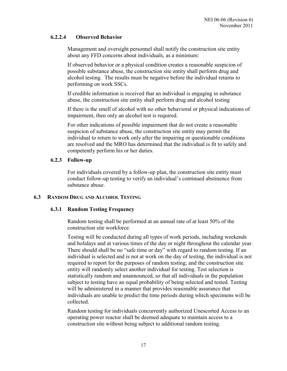# **6.2.2.4 Observed Behavior**

Management and oversight personnel shall notify the construction site entity about any FFD concerns about individuals, as a minimum:

If observed behavior or a physical condition creates a reasonable suspicion of possible substance abuse, the construction site entity shall perform drug and alcohol testing. The results must be negative before the individual returns to performing on work SSCs.

If credible information is received that an individual is engaging in substance abuse, the construction site entity shall perform drug and alcohol testing

If there is the smell of alcohol with no other behavioral or physical indications of impairment, then only an alcohol test is required.

For other indications of possible impairment that do not create a reasonable suspicion of substance abuse, the construction site entity may permit the individual to return to work only after the impairing or questionable conditions are resolved and the MRO has determined that the individual is fit to safely and competently perform his or her duties.

# **6.2.3 Follow-up**

For individuals covered by a follow-up plan, the construction site entity must conduct follow-up testing to verify an individual's continued abstinence from substance abuse.

## **6.3 RANDOM DRUG AND ALCOHOL TESTING**

## **6.3.1 Random Testing Frequency**

Random testing shall be performed at an annual rate of at least 50% of the construction site workforce.

Testing will be conducted during all types of work periods, including weekends and holidays and at various times of the day or night throughout the calendar year. There should shall be no "safe time or day" with regard to random testing. If an individual is selected and is not at work on the day of testing, the individual is not required to report for the purposes of random testing; and the construction site entity will randomly select another individual for testing. Test selection is statistically random and unannounced, so that all individuals in the population subject to testing have an equal probability of being selected and tested. Testing will be administered in a manner that provides reasonable assurance that individuals are unable to predict the time periods during which specimens will be collected.

Random testing for individuals concurrently authorized Unescorted Access to an operating power reactor shall be deemed adequate to maintain access to a construction site without being subject to additional random testing.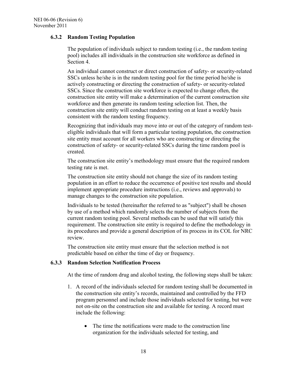# **6.3.2 Random Testing Population**

The population of individuals subject to random testing (i.e., the random testing pool) includes all individuals in the construction site workforce as defined in Section 4.

An individual cannot construct or direct construction of safety- or security-related SSCs unless he/she is in the random testing pool for the time period he/she is actively constructing or directing the construction of safety- or security-related SSCs. Since the construction site workforce is expected to change often, the construction site entity will make a determination of the current construction site workforce and then generate its random testing selection list. Then, the construction site entity will conduct random testing on at least a weekly basis consistent with the random testing frequency.

Recognizing that individuals may move into or out of the category of random testeligible individuals that will form a particular testing population, the construction site entity must account for all workers who are constructing or directing the construction of safety- or security-related SSCs during the time random pool is created.

The construction site entity's methodology must ensure that the required random testing rate is met.

The construction site entity should not change the size of its random testing population in an effort to reduce the occurrence of positive test results and should implement appropriate procedure instructions (i.e., reviews and approvals) to manage changes to the construction site population.

Individuals to be tested (hereinafter the referred to as "subject") shall be chosen by use of a method which randomly selects the number of subjects from the current random testing pool. Several methods can be used that will satisfy this requirement. The construction site entity is required to define the methodology in its procedures and provide a general description of its process in its COL for NRC review.

The construction site entity must ensure that the selection method is not predictable based on either the time of day or frequency.

## **6.3.3 Random Selection Notification Process**

At the time of random drug and alcohol testing, the following steps shall be taken:

- 1. A record of the individuals selected for random testing shall be documented in the construction site entity's records, maintained and controlled by the FFD program personnel and include those individuals selected for testing, but were not on-site on the construction site and available for testing. A record must include the following:
	- The time the notifications were made to the construction line organization for the individuals selected for testing, and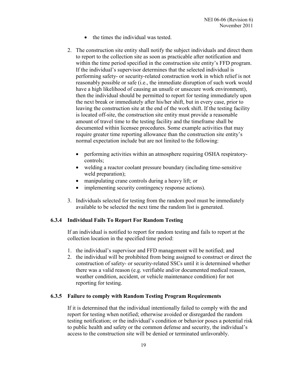- the times the individual was tested.
- 2. The construction site entity shall notify the subject individuals and direct them to report to the collection site as soon as practicable after notification and within the time period specified in the construction site entity's FFD program. If the individual's supervisor determines that the selected individual is performing safety- or security-related construction work in which relief is not reasonably possible or safe (i.e., the immediate disruption of such work would have a high likelihood of causing an unsafe or unsecure work environment), then the individual should be permitted to report for testing immediately upon the next break or immediately after his/her shift, but in every case, prior to leaving the construction site at the end of the work shift. If the testing facility is located off-site, the construction site entity must provide a reasonable amount of travel time to the testing facility and the timeframe shall be documented within licensee procedures. Some example activities that may require greater time reporting allowance than the construction site entity's normal expectation include but are not limited to the following:
	- performing activities within an atmosphere requiring OSHA respiratorycontrols;
	- welding a reactor coolant pressure boundary (including time-sensitive weld preparation);
	- manipulating crane controls during a heavy lift; or
	- implementing security contingency response actions).
- 3. Individuals selected for testing from the random pool must be immediately available to be selected the next time the random list is generated.

# **6.3.4 Individual Fails To Report For Random Testing**

If an individual is notified to report for random testing and fails to report at the collection location in the specified time period:

- 1. the individual's supervisor and FFD management will be notified; and
- 2. the individual will be prohibited from being assigned to construct or direct the construction of safety- or security-related SSCs until it is determined whether there was a valid reason (e.g. verifiable and/or documented medical reason, weather condition, accident, or vehicle maintenance condition) for not reporting for testing.

## **6.3.5 Failure to comply with Random Testing Program Requirements**

If it is determined that the individual intentionally failed to comply with the and report for testing when notified; otherwise avoided or disregarded the random testing notification; or the individual's condition or behavior poses a potential risk to public health and safety or the common defense and security, the individual's access to the construction site will be denied or terminated unfavorably.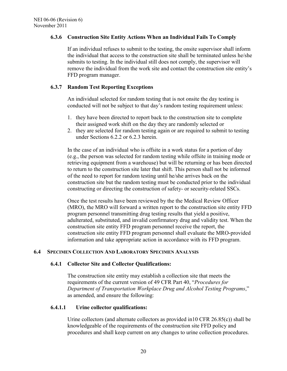# **6.3.6 Construction Site Entity Actions When an Individual Fails To Comply**

If an individual refuses to submit to the testing, the onsite supervisor shall inform the individual that access to the construction site shall be terminated unless he/she submits to testing. In the individual still does not comply, the supervisor will remove the individual from the work site and contact the construction site entity's FFD program manager.

# **6.3.7 Random Test Reporting Exceptions**

An individual selected for random testing that is not onsite the day testing is conducted will not be subject to that day's random testing requirement unless:

- 1. they have been directed to report back to the construction site to complete their assigned work shift on the day they are randomly selected or
- 2. they are selected for random testing again or are required to submit to testing under Sections 6.2.2 or 6.2.3 herein.

In the case of an individual who is offsite in a work status for a portion of day (e.g., the person was selected for random testing while offsite in training mode or retrieving equipment from a warehouse) but will be returning or has been directed to return to the construction site later that shift. This person shall not be informed of the need to report for random testing until he/she arrives back on the construction site but the random testing must be conducted prior to the individual constructing or directing the construction of safety- or security-related SSCs.

Once the test results have been reviewed by the the Medical Review Officer (MRO), the MRO will forward a written report to the construction site entity FFD program personnel transmitting drug testing results that yield a positive, adulterated, substituted, and invalid confirmatory drug and validity test. When the construction site entity FFD program personnel receive the report, the construction site entity FFD program personnel shall evaluate the MRO-provided information and take appropriate action in accordance with its FFD program.

# **6.4 SPECIMEN COLLECTION AND LABORATORY SPECIMEN ANALYSIS**

## **6.4.1 Collector Site and Collector Qualifications:**

The construction site entity may establish a collection site that meets the requirements of the current version of 49 CFR Part 40, "*Procedures for Department of Transportation Workplace Drug and Alcohol Testing Programs*," as amended, and ensure the following:

## **6.4.1.1 Urine collector qualifications:**

Urine collectors (and alternate collectors as provided in10 CFR 26.85(c)) shall be knowledgeable of the requirements of the construction site FFD policy and procedures and shall keep current on any changes to urine collection procedures.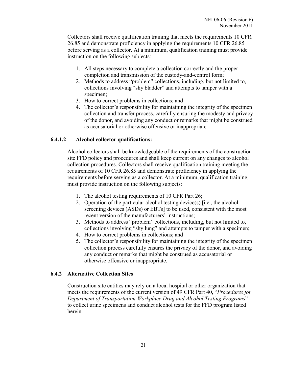Collectors shall receive qualification training that meets the requirements 10 CFR 26.85 and demonstrate proficiency in applying the requirements 10 CFR 26.85 before serving as a collector. At a minimum, qualification training must provide instruction on the following subjects:

- 1. All steps necessary to complete a collection correctly and the proper completion and transmission of the custody-and-control form;
- 2. Methods to address "problem" collections, including, but not limited to, collections involving "shy bladder" and attempts to tamper with a specimen;
- 3. How to correct problems in collections; and
- 4. The collector's responsibility for maintaining the integrity of the specimen collection and transfer process, carefully ensuring the modesty and privacy of the donor, and avoiding any conduct or remarks that might be construed as accusatorial or otherwise offensive or inappropriate.

# **6.4.1.2 Alcohol collector qualifications:**

Alcohol collectors shall be knowledgeable of the requirements of the construction site FFD policy and procedures and shall keep current on any changes to alcohol collection procedures. Collectors shall receive qualification training meeting the requirements of 10 CFR 26.85 and demonstrate proficiency in applying the requirements before serving as a collector. At a minimum, qualification training must provide instruction on the following subjects:

- 1. The alcohol testing requirements of 10 CFR Part 26;
- 2. Operation of the particular alcohol testing device(s) [i.e., the alcohol screening devices (ASDs) or EBTs] to be used, consistent with the most recent version of the manufacturers' instructions;
- 3. Methods to address "problem" collections, including, but not limited to, collections involving "shy lung" and attempts to tamper with a specimen;
- 4. How to correct problems in collections; and
- 5. The collector's responsibility for maintaining the integrity of the specimen collection process carefully ensures the privacy of the donor, and avoiding any conduct or remarks that might be construed as accusatorial or otherwise offensive or inappropriate.

# **6.4.2 Alternative Collection Sites**

Construction site entities may rely on a local hospital or other organization that meets the requirements of the current version of 49 CFR Part 40, "*Procedures for Department of Transportation Workplace Drug and Alcohol Testing Programs*" to collect urine specimens and conduct alcohol tests for the FFD program listed herein.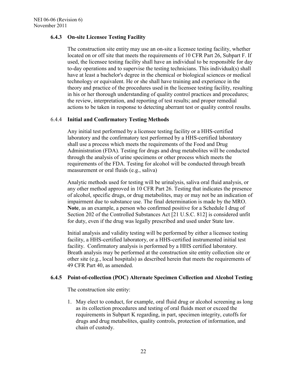# **6.4.3 On-site Licensee Testing Facility**

The construction site entity may use an on-site a licensee testing facility, whether located on or off site that meets the requirements of 10 CFR Part 26, Subpart F. If used, the licensee testing facility shall have an individual to be responsible for day to-day operations and to supervise the testing technicians. This individual(s) shall have at least a bachelor's degree in the chemical or biological sciences or medical technology or equivalent. He or she shall have training and experience in the theory and practice of the procedures used in the licensee testing facility, resulting in his or her thorough understanding of quality control practices and procedures; the review, interpretation, and reporting of test results; and proper remedial actions to be taken in response to detecting aberrant test or quality control results.

# 6.4.4 **Initial and Confirmatory Testing Methods**

Any initial test performed by a licensee testing facility or a HHS-certified laboratory and the confirmatory test performed by a HHS-certified laboratory shall use a process which meets the requirements of the Food and Drug Administration (FDA). Testing for drugs and drug metabolites will be conducted through the analysis of urine specimens or other process which meets the requirements of the FDA. Testing for alcohol will be conducted through breath measurement or oral fluids (e.g., saliva)

Analytic methods used for testing will be urinalysis, saliva oral fluid analysis, or any other method approved in 10 CFR Part 26. Testing that indicates the presence of alcohol, specific drugs, or drug metabolites, may or may not be an indication of impairment due to substance use. The final determination is made by the MRO. **Note**, as an example, a person who confirmed positive for a Schedule I drug of Section 202 of the Controlled Substances Act [21 U.S.C. 812] is considered unfit for duty, even if the drug was legally prescribed and used under State law.

Initial analysis and validity testing will be performed by either a licensee testing facility, a HHS-certified laboratory, or a HHS-certified instrumented initial test facility. Confirmatory analysis is performed by a HHS certified laboratory. Breath analysis may be performed at the construction site entity collection site or other site (e.g., local hospitals) as described herein that meets the requirements of 49 CFR Part 40, as amended.

## **6.4.5 Point-of-collection (POC) Alternate Specimen Collection and Alcohol Testing**

The construction site entity:

1. May elect to conduct, for example, oral fluid drug or alcohol screening as long as its collection procedures and testing of oral fluids meet or exceed the requirements in Subpart K regarding, in part, specimen integrity, cutoffs for drugs and drug metabolites, quality controls, protection of information, and chain of custody.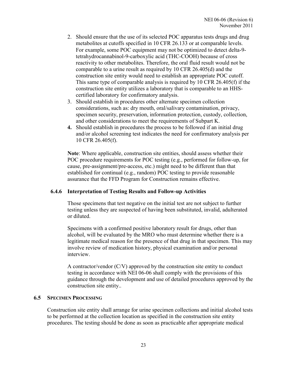- 2. Should ensure that the use of its selected POC apparatus tests drugs and drug metabolites at cutoffs specified in 10 CFR 26.133 or at comparable levels. For example, some POC equipment may not be optimized to detect delta-9 tetrahydrocannabinol-9-carboxylic acid (THC-COOH) because of cross reactivity to other metabolites. Therefore, the oral fluid result would not be comparable to a urine result as required by 10 CFR 26.405(d) and the construction site entity would need to establish an appropriate POC cutoff. This same type of comparable analysis is required by 10 CFR 26.405(f) if the construction site entity utilizes a laboratory that is comparable to an HHScertified laboratory for confirmatory analysis.
- 3. Should establish in procedures other alternate specimen collection considerations, such as: dry mouth, oral/salivary contamination, privacy, specimen security, preservation, information protection, custody, collection, and other considerations to meet the requirements of Subpart K.
- **4.** Should establish in procedures the process to be followed if an initial drug and/or alcohol screening test indicates the need for confirmatory analysis per 10 CFR 26.405(f).

**Note**: Where applicable, construction site entities, should assess whether their POC procedure requirements for POC testing (e.g., performed for follow-up, for cause, pre-assignment/pre-access, etc.) might need to be different than that established for continual (e.g., random) POC testing to provide reasonable assurance that the FFD Program for Construction remains effective.

# **6.4.6 Interpretation of Testing Results and Follow-up Activities**

Those specimens that test negative on the initial test are not subject to further testing unless they are suspected of having been substituted, invalid, adulterated or diluted.

Specimens with a confirmed positive laboratory result for drugs, other than alcohol, will be evaluated by the MRO who must determine whether there is a legitimate medical reason for the presence of that drug in that specimen. This may involve review of medication history, physical examination and/or personal interview.

A contractor/vendor (C/V) approved by the construction site entity to conduct testing in accordance with NEI 06-06 shall comply with the provisions of this guidance through the development and use of detailed procedures approved by the construction site entity..

## **6.5 SPECIMEN PROCESSING**

Construction site entity shall arrange for urine specimen collections and initial alcohol tests to be performed at the collection location as specified in the construction site entity procedures. The testing should be done as soon as practicable after appropriate medical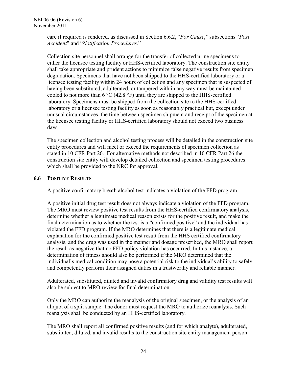care if required is rendered, as discussed in Section 6.6.2, "*For Cause*," subsections "*Post Accident*" and "*Notification Procedures*."

Collection site personnel shall arrange for the transfer of collected urine specimens to either the licensee testing facility or HHS-certified laboratory. The construction site entity shall take appropriate and prudent actions to minimize false negative results from specimen degradation. Specimens that have not been shipped to the HHS-certified laboratory or a licensee testing facility within 24 hours of collection and any specimen that is suspected of having been substituted, adulterated, or tampered with in any way must be maintained cooled to not more than 6  $\degree$ C (42.8  $\degree$ F) until they are shipped to the HHS-certified laboratory. Specimens must be shipped from the collection site to the HHS-certified laboratory or a licensee testing facility as soon as reasonably practical but, except under unusual circumstances, the time between specimen shipment and receipt of the specimen at the licensee testing facility or HHS-certified laboratory should not exceed two business days.

The specimen collection and alcohol testing process will be detailed in the construction site entity procedures and will meet or exceed the requirements of specimen collection as stated in 10 CFR Part 26. For alternative methods not described in 10 CFR Part 26 the construction site entity will develop detailed collection and specimen testing procedures which shall be provided to the NRC for approval.

# **6.6 POSITIVE RESULTS**

A positive confirmatory breath alcohol test indicates a violation of the FFD program.

A positive initial drug test result does not always indicate a violation of the FFD program. The MRO must review positive test results from the HHS-certified confirmatory analysis, determine whether a legitimate medical reason exists for the positive result, and make the final determination as to whether the test is a "confirmed positive" and the individual has violated the FFD program. If the MRO determines that there is a legitimate medical explanation for the confirmed positive test result from the HHS certified confirmatory analysis, and the drug was used in the manner and dosage prescribed, the MRO shall report the result as negative that no FFD policy violation has occurred. In this instance, a determination of fitness should also be performed if the MRO determined that the individual's medical condition may pose a potential risk to the individual's ability to safely and competently perform their assigned duties in a trustworthy and reliable manner.

Adulterated, substituted, diluted and invalid confirmatory drug and validity test results will also be subject to MRO review for final determination.

Only the MRO can authorize the reanalysis of the original specimen, or the analysis of an aliquot of a split sample. The donor must request the MRO to authorize reanalysis. Such reanalysis shall be conducted by an HHS-certified laboratory.

The MRO shall report all confirmed positive results (and for which analyte), adulterated, substituted, diluted, and invalid results to the construction site entity management person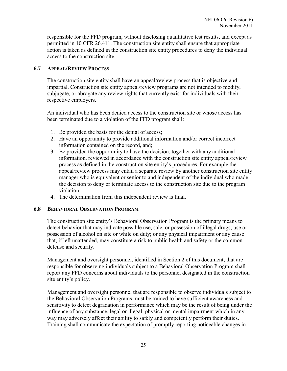responsible for the FFD program, without disclosing quantitative test results, and except as permitted in 10 CFR 26.411. The construction site entity shall ensure that appropriate action is taken as defined in the construction site entity procedures to deny the individual access to the construction site..

# **6.7 APPEAL/REVIEW PROCESS**

The construction site entity shall have an appeal/review process that is objective and impartial. Construction site entity appeal/review programs are not intended to modify, subjugate, or abrogate any review rights that currently exist for individuals with their respective employers.

An individual who has been denied access to the construction site or whose access has been terminated due to a violation of the FFD program shall:

- 1. Be provided the basis for the denial of access;
- 2. Have an opportunity to provide additional information and/or correct incorrect information contained on the record, and;
- 3. Be provided the opportunity to have the decision, together with any additional information, reviewed in accordance with the construction site entity appeal/review process as defined in the construction site entity's procedures. For example the appeal/review process may entail a separate review by another construction site entity manager who is equivalent or senior to and independent of the individual who made the decision to deny or terminate access to the construction site due to the program violation.
- 4. The determination from this independent review is final.

## **6.8 BEHAVIORAL OBSERVATION PROGRAM**

The construction site entity's Behavioral Observation Program is the primary means to detect behavior that may indicate possible use, sale, or possession of illegal drugs; use or possession of alcohol on site or while on duty; or any physical impairment or any cause that, if left unattended, may constitute a risk to public health and safety or the common defense and security.

Management and oversight personnel, identified in Section 2 of this document, that are responsible for observing individuals subject to a Behavioral Observation Program shall report any FFD concerns about individuals to the personnel designated in the construction site entity's policy.

Management and oversight personnel that are responsible to observe individuals subject to the Behavioral Observation Programs must be trained to have sufficient awareness and sensitivity to detect degradation in performance which may be the result of being under the influence of any substance, legal or illegal, physical or mental impairment which in any way may adversely affect their ability to safely and competently perform their duties. Training shall communicate the expectation of promptly reporting noticeable changes in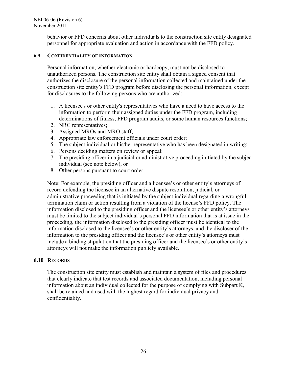behavior or FFD concerns about other individuals to the construction site entity designated personnel for appropriate evaluation and action in accordance with the FFD policy.

# **6.9 CONFIDENTIALITY OF INFORMATION**

Personal information, whether electronic or hardcopy, must not be disclosed to unauthorized persons. The construction site entity shall obtain a signed consent that authorizes the disclosure of the personal information collected and maintained under the construction site entity's FFD program before disclosing the personal information, except for disclosures to the following persons who are authorized:

- 1. A licensee's or other entity's representatives who have a need to have access to the information to perform their assigned duties under the FFD program, including determinations of fitness, FFD program audits, or some human resources functions;
- 2. NRC representatives;
- 3. Assigned MROs and MRO staff;
- 4. Appropriate law enforcement officials under court order;
- 5. The subject individual or his/her representative who has been designated in writing;
- 6. Persons deciding matters on review or appeal;
- 7. The presiding officer in a judicial or administrative proceeding initiated by the subject individual (see note below), or
- 8. Other persons pursuant to court order.

Note: For example, the presiding officer and a licensee's or other entity's attorneys of record defending the licensee in an alternative dispute resolution, judicial, or administrative proceeding that is initiated by the subject individual regarding a wrongful termination claim or action resulting from a violation of the license's FFD policy. The information disclosed to the presiding officer and the licensee's or other entity's attorneys must be limited to the subject individual's personal FFD information that is at issue in the proceeding, the information disclosed to the presiding officer must be identical to the information disclosed to the licensee's or other entity's attorneys, and the discloser of the information to the presiding officer and the licensee's or other entity's attorneys must include a binding stipulation that the presiding officer and the licensee's or other entity's attorneys will not make the information publicly available.

# **6.10 RECORDS**

The construction site entity must establish and maintain a system of files and procedures that clearly indicate that test records and associated documentation, including personal information about an individual collected for the purpose of complying with Subpart K, shall be retained and used with the highest regard for individual privacy and confidentiality.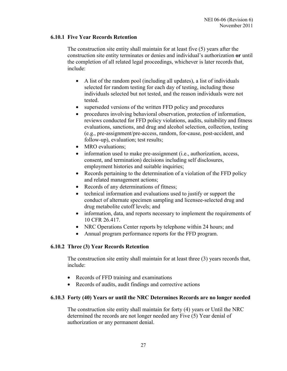# **6.10.1 Five Year Records Retention**

The construction site entity shall maintain for at least five (5) years after the construction site entity terminates or denies and individual's authorization **or** until the completion of all related legal proceedings, whichever is later records that, include:

- A list of the random pool (including all updates), a list of individuals selected for random testing for each day of testing, including those individuals selected but not tested, and the reason individuals were not tested.
- superseded versions of the written FFD policy and procedures
- procedures involving behavioral observation, protection of information, reviews conducted for FFD policy violations, audits, suitability and fitness evaluations, sanctions, and drug and alcohol selection, collection, testing (e.g., pre-assignment/pre-access, random, for-cause, post-accident, and follow-up), evaluation; test results;
- MRO evaluations;
- information used to make pre-assignment (i.e., authorization, access, consent, and termination) decisions including self disclosures, employment histories and suitable inquiries;
- Records pertaining to the determination of a violation of the FFD policy and related management actions;
- Records of any determinations of fitness;
- technical information and evaluations used to justify or support the conduct of alternate specimen sampling and licensee-selected drug and drug metabolite cutoff levels; and
- information, data, and reports necessary to implement the requirements of 10 CFR 26.417.
- NRC Operations Center reports by telephone within 24 hours; and
- Annual program performance reports for the FFD program.

# **6.10.2 Three (3) Year Records Retention**

The construction site entity shall maintain for at least three (3) years records that, include:

- Records of FFD training and examinations
- Records of audits, audit findings and corrective actions

# **6.10.3 Forty (40) Years or until the NRC Determines Records are no longer needed**

The construction site entity shall maintain for forty (4) years or Until the NRC determined the records are not longer needed any Five (5) Year denial of authorization or any permanent denial.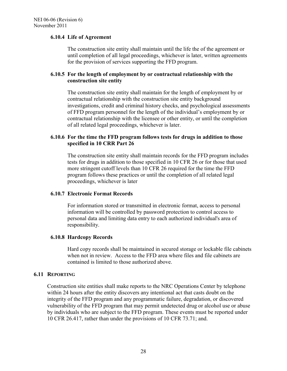# **6.10.4 Life of Agreement**

The construction site entity shall maintain until the life the of the agreement or until completion of all legal proceedings, whichever is later, written agreements for the provision of services supporting the FFD program.

# **6.10.5 For the length of employment by or contractual relationship with the construction site entity**

The construction site entity shall maintain for the length of employment by or contractual relationship with the construction site entity background investigations, credit and criminal history checks, and psychological assessments of FFD program personnel for the length of the individual's employment by or contractual relationship with the licensee or other entity, or until the completion of all related legal proceedings, whichever is later.

# **6.10.6 For the time the FFD program follows tests for drugs in addition to those specified in 10 CRR Part 26**

The construction site entity shall maintain records for the FFD program includes tests for drugs in addition to those specified in 10 CFR 26 or for those that used more stringent cutoff levels than 10 CFR 26 required for the time the FFD program follows these practices or until the completion of all related legal proceedings, whichever is later

## **6.10.7 Electronic Format Records**

For information stored or transmitted in electronic format, access to personal information will be controlled by password protection to control access to personal data and limiting data entry to each authorized individual's area of responsibility.

## **6.10.8 Hardcopy Records**

Hard copy records shall be maintained in secured storage or lockable file cabinets when not in review. Access to the FFD area where files and file cabinets are contained is limited to those authorized above.

# **6.11 REPORTING**

Construction site entities shall make reports to the NRC Operations Center by telephone within 24 hours after the entity discovers any intentional act that casts doubt on the integrity of the FFD program and any programmatic failure, degradation, or discovered vulnerability of the FFD program that may permit undetected drug or alcohol use or abuse by individuals who are subject to the FFD program. These events must be reported under 10 CFR 26.417, rather than under the provisions of 10 CFR 73.71; and.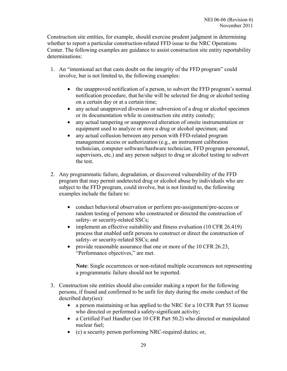Construction site entities, for example, should exercise prudent judgment in determining whether to report a particular construction-related FFD issue to the NRC Operations Center. The following examples are guidance to assist construction site entity reportability determinations:

- 1. An "intentional act that casts doubt on the integrity of the FFD program" could involve, but is not limited to, the following examples:
	- the unapproved notification of a person, to subvert the FFD program's normal notification procedure, that he/she will be selected for drug or alcohol testing on a certain day or at a certain time;
	- any actual unapproved diversion or subversion of a drug or alcohol specimen or its documentation while in construction site entity custody;
	- any actual tampering or unapproved alteration of onsite instrumentation or equipment used to analyze or store a drug or alcohol specimen; and
	- any actual collusion between any person with FFD-related program management access or authorization (e.g., an instrument calibration technician, computer software/hardware technician, FFD program personnel, supervisors, etc.) and any person subject to drug or alcohol testing to subvert the test.
- 2. Any programmatic failure, degradation, or discovered vulnerability of the FFD program that may permit undetected drug or alcohol abuse by individuals who are subject to the FFD program, could involve, but is not limited to, the following examples include the failure to:
	- conduct behavioral observation or perform pre-assignment/pre-access or random testing of persons who constructed or directed the construction of safety- or security-related SSCs;
	- implement an effective suitability and fitness evaluation (10 CFR 26.419) process that enabled unfit persons to construct or direct the construction of safety- or security-related SSCs; and
	- provide reasonable assurance that one or more of the 10 CFR 26.23, "Performance objectives," are met.

**Note**: Single occurrences or non-related multiple occurrences not representing a programmatic failure should not be reported.

- 3. Construction site entities should also consider making a report for the following persons, if found and confirmed to be unfit for duty during the onsite conduct of the described duty(ies):
	- a person maintaining or has applied to the NRC for a 10 CFR Part 55 license who directed or performed a safety-significant activity;
	- a Certified Fuel Handler (see 10 CFR Part 50.2) who directed or manipulated nuclear fuel;
	- (c) a security person performing NRC-required duties; or,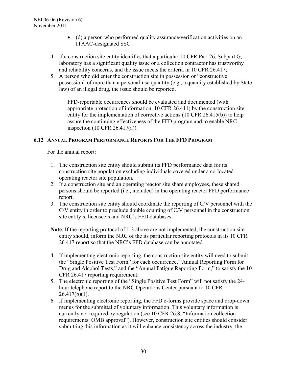- (d) a person who performed quality assurance/verification activities on an ITAAC-designated SSC.
- 4. If a construction site entity identifies that a particular 10 CFR Part 26, Subpart G, laboratory has a significant quality issue or a collection contractor has trustworthy and reliability concerns, and the issue meets the criteria in 10 CFR 26.417;
- 5. A person who did enter the construction site in possession or "constructive possession" of more than a personal-use quantity (e.g., a quantity established by State law) of an illegal drug, the issue should be reported.

FFD-reportable occurrences should be evaluated and documented (with appropriate protection of information, 10 CFR 26.411) by the construction site entity for the implementation of corrective actions (10 CFR 26.415(b)) to help assure the continuing effectiveness of the FFD program and to enable NRC inspection (10 CFR 26.417(a)).

# **6.12 ANNUAL PROGRAM PERFORMANCE REPORTS FOR THE FFD PROGRAM**

For the annual report:

- 1. The construction site entity should submit its FFD performance data for its construction site population excluding individuals covered under a co-located operating reactor site population.
- 2. If a construction site and an operating reactor site share employees, these shared persons should be reported (i.e., included) in the operating reactor FFD performance report.
- 3. The construction site entity should coordinate the reporting of C/V personnel with the C/V entity in order to preclude double counting of C/V personnel in the construction site entity's, licensee's and NRC's FFD databases.
- **Note**: If the reporting protocol of 1-3 above are not implemented, the construction site entity should, inform the NRC of the its particular reporting protocols in its 10 CFR 26.417 report so that the NRC's FFD database can be annotated.
- 4. If implementing electronic reporting, the construction site entity will need to submit the "Single Positive Test Form" for each occurrence, "Annual Reporting Form for Drug and Alcohol Tests," and the "Annual Fatigue Reporting Form," to satisfy the 10 CFR 26.417 reporting requirement.
- 5. The electronic reporting of the "Single Positive Test Form" will not satisfy the 24 hour telephone report to the NRC Operations Center pursuant to 10 CFR  $26.417(b)(1)$ .
- 6. If implementing electronic reporting, the FFD e-forms provide space and drop-down menus for the submittal of voluntary information. This voluntary information is currently not required by regulation (see 10 CFR 26.8, "Information collection requirements: OMB approval"). However, construction site entities should consider submitting this information as it will enhance consistency across the industry, the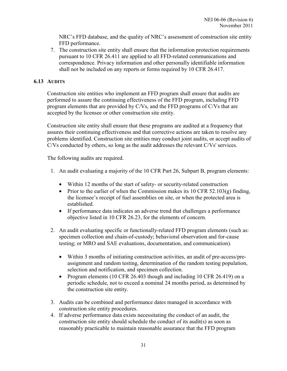NRC's FFD database, and the quality of NRC's assessment of construction site entity FFD performance.

7. The construction site entity shall ensure that the information protection requirements pursuant to 10 CFR 26.411 are applied to all FFD-related communications and correspondence. Privacy information and other personally identifiable information shall not be included on any reports or forms required by 10 CFR 26.417.

# **6.13 AUDITS**

Construction site entities who implement an FFD program shall ensure that audits are performed to assure the continuing effectiveness of the FFD program, including FFD program elements that are provided by C/Vs, and the FFD programs of C/Vs that are accepted by the licensee or other construction site entity.

Construction site entity shall ensure that these programs are audited at a frequency that assures their continuing effectiveness and that corrective actions are taken to resolve any problems identified. Construction site entities may conduct joint audits, or accept audits of C/Vs conducted by others, so long as the audit addresses the relevant C/Vs' services.

The following audits are required.

- 1. An audit evaluating a majority of the 10 CFR Part 26, Subpart B, program elements:
	- Within 12 months of the start of safety- or security-related construction
	- Prior to the earlier of when the Commission makes its 10 CFR 52.103 $(g)$  finding, the licensee's receipt of fuel assemblies on site, or when the protected area is established.
	- If performance data indicates an adverse trend that challenges a performance objective listed in 10 CFR 26.23, for the elements of concern.
- 2. An audit evaluating specific or functionally-related FFD program elements (such as: specimen collection and chain-of-custody; behavioral observation and for-cause testing; or MRO and SAE evaluations, documentation, and communication).
	- Within 3 months of initiating construction activities, an audit of pre-access/preassignment and random testing, determination of the random testing population, selection and notification, and specimen collection.
	- Program elements (10 CFR 26.403 though and including 10 CFR 26.419) on a periodic schedule, not to exceed a nominal 24 months period, as determined by the construction site entity.
- 3. Audits can be combined and performance dates managed in accordance with construction site entity procedures.
- 4. If adverse performance data exists necessitating the conduct of an audit, the construction site entity should schedule the conduct of its audit(s) as soon as reasonably practicable to maintain reasonable assurance that the FFD program